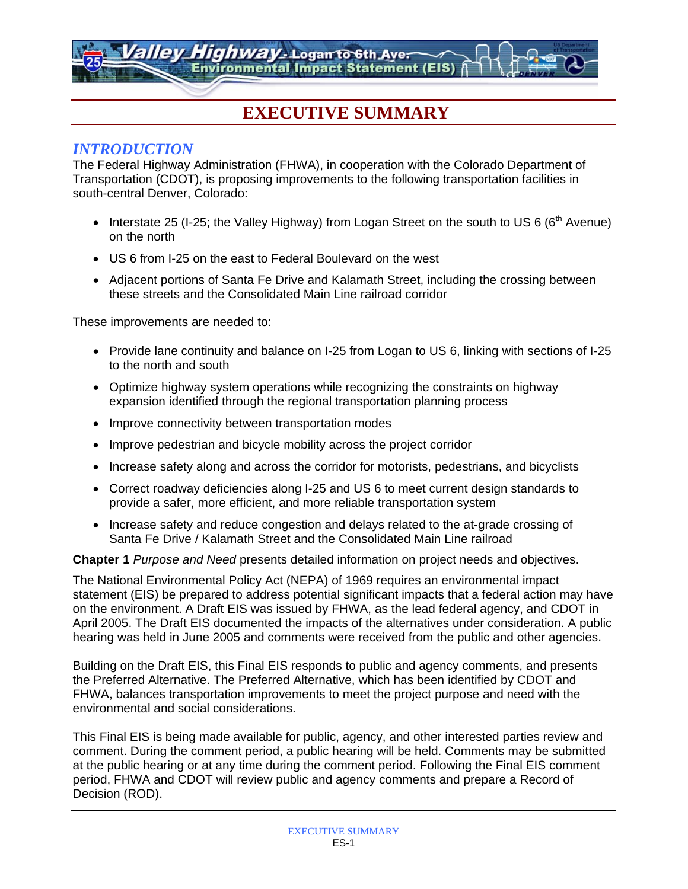*Highway* - Logan to 6th Aver **Environmental Impact Statement (EIS)** 

# **EXECUTIVE SUMMARY**

## *INTRODUCTION*

The Federal Highway Administration (FHWA), in cooperation with the Colorado Department of Transportation (CDOT), is proposing improvements to the following transportation facilities in south-central Denver, Colorado:

- Interstate 25 (I-25; the Valley Highway) from Logan Street on the south to US 6 ( $6<sup>th</sup>$  Avenue) on the north
- US 6 from I-25 on the east to Federal Boulevard on the west
- Adjacent portions of Santa Fe Drive and Kalamath Street, including the crossing between these streets and the Consolidated Main Line railroad corridor

These improvements are needed to:

- Provide lane continuity and balance on I-25 from Logan to US 6, linking with sections of I-25 to the north and south
- Optimize highway system operations while recognizing the constraints on highway expansion identified through the regional transportation planning process
- Improve connectivity between transportation modes
- Improve pedestrian and bicycle mobility across the project corridor
- Increase safety along and across the corridor for motorists, pedestrians, and bicyclists
- Correct roadway deficiencies along I-25 and US 6 to meet current design standards to provide a safer, more efficient, and more reliable transportation system
- Increase safety and reduce congestion and delays related to the at-grade crossing of Santa Fe Drive / Kalamath Street and the Consolidated Main Line railroad

**Chapter 1** *Purpose and Need* presents detailed information on project needs and objectives.

The National Environmental Policy Act (NEPA) of 1969 requires an environmental impact statement (EIS) be prepared to address potential significant impacts that a federal action may have on the environment. A Draft EIS was issued by FHWA, as the lead federal agency, and CDOT in April 2005. The Draft EIS documented the impacts of the alternatives under consideration. A public hearing was held in June 2005 and comments were received from the public and other agencies.

Building on the Draft EIS, this Final EIS responds to public and agency comments, and presents the Preferred Alternative. The Preferred Alternative, which has been identified by CDOT and FHWA, balances transportation improvements to meet the project purpose and need with the environmental and social considerations.

This Final EIS is being made available for public, agency, and other interested parties review and comment. During the comment period, a public hearing will be held. Comments may be submitted at the public hearing or at any time during the comment period. Following the Final EIS comment period, FHWA and CDOT will review public and agency comments and prepare a Record of Decision (ROD).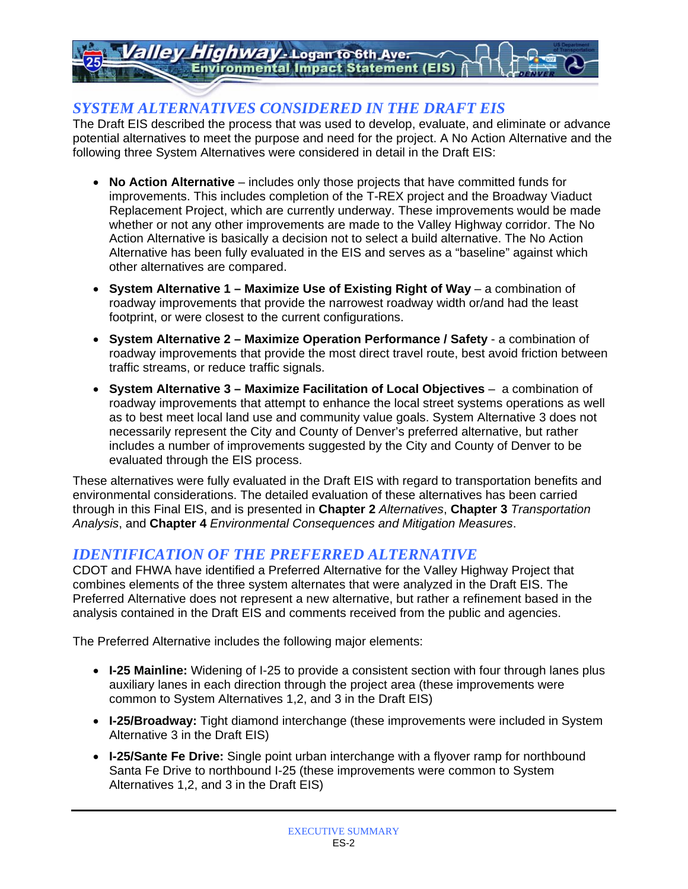# *Highway* - Logan to 6th Aver **Environmental Impact Statement (EIS)**

# *SYSTEM ALTERNATIVES CONSIDERED IN THE DRAFT EIS*

The Draft EIS described the process that was used to develop, evaluate, and eliminate or advance potential alternatives to meet the purpose and need for the project. A No Action Alternative and the following three System Alternatives were considered in detail in the Draft EIS:

- **No Action Alternative** includes only those projects that have committed funds for improvements. This includes completion of the T-REX project and the Broadway Viaduct Replacement Project, which are currently underway. These improvements would be made whether or not any other improvements are made to the Valley Highway corridor. The No Action Alternative is basically a decision not to select a build alternative. The No Action Alternative has been fully evaluated in the EIS and serves as a "baseline" against which other alternatives are compared.
- System Alternative 1 Maximize Use of Existing Right of Way a combination of roadway improvements that provide the narrowest roadway width or/and had the least footprint, or were closest to the current configurations.
- **System Alternative 2 Maximize Operation Performance / Safety** a combination of roadway improvements that provide the most direct travel route, best avoid friction between traffic streams, or reduce traffic signals.
- **System Alternative 3 Maximize Facilitation of Local Objectives** a combination of roadway improvements that attempt to enhance the local street systems operations as well as to best meet local land use and community value goals. System Alternative 3 does not necessarily represent the City and County of Denver's preferred alternative, but rather includes a number of improvements suggested by the City and County of Denver to be evaluated through the EIS process.

These alternatives were fully evaluated in the Draft EIS with regard to transportation benefits and environmental considerations. The detailed evaluation of these alternatives has been carried through in this Final EIS, and is presented in **Chapter 2** *Alternatives*, **Chapter 3** *Transportation Analysis*, and **Chapter 4** *Environmental Consequences and Mitigation Measures*.

## *IDENTIFICATION OF THE PREFERRED ALTERNATIVE*

CDOT and FHWA have identified a Preferred Alternative for the Valley Highway Project that combines elements of the three system alternates that were analyzed in the Draft EIS. The Preferred Alternative does not represent a new alternative, but rather a refinement based in the analysis contained in the Draft EIS and comments received from the public and agencies.

The Preferred Alternative includes the following major elements:

- **I-25 Mainline:** Widening of I-25 to provide a consistent section with four through lanes plus auxiliary lanes in each direction through the project area (these improvements were common to System Alternatives 1,2, and 3 in the Draft EIS)
- **I-25/Broadway:** Tight diamond interchange (these improvements were included in System Alternative 3 in the Draft EIS)
- **I-25/Sante Fe Drive:** Single point urban interchange with a flyover ramp for northbound Santa Fe Drive to northbound I-25 (these improvements were common to System Alternatives 1,2, and 3 in the Draft EIS)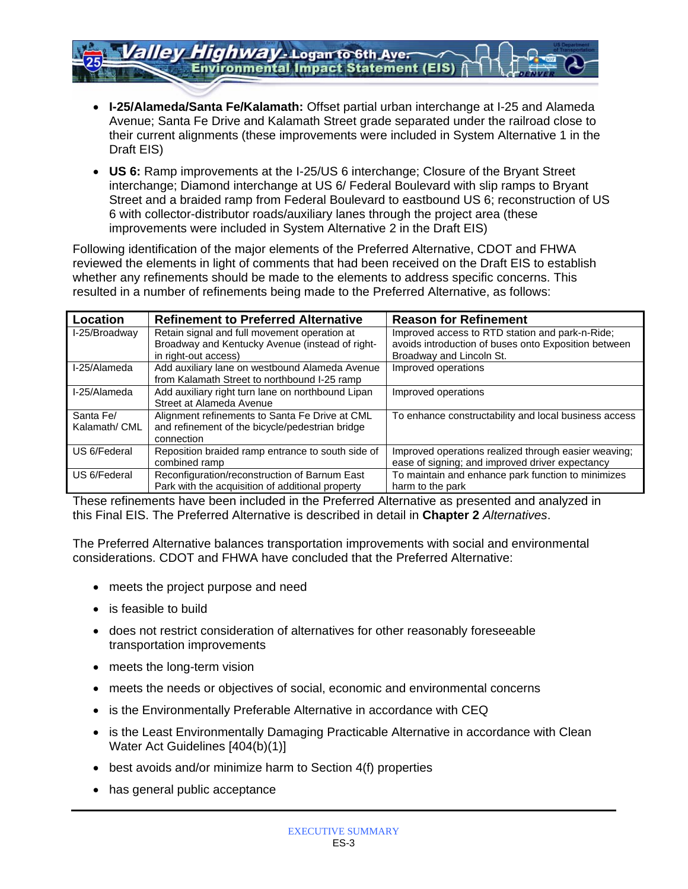• **I-25/Alameda/Santa Fe/Kalamath:** Offset partial urban interchange at I-25 and Alameda Avenue; Santa Fe Drive and Kalamath Street grade separated under the railroad close to their current alignments (these improvements were included in System Alternative 1 in the Draft EIS)

**Environmental Impact Statement (EIS)** 

*Highway -* Logan to 6th Aver

• **US 6:** Ramp improvements at the I-25/US 6 interchange; Closure of the Bryant Street interchange; Diamond interchange at US 6/ Federal Boulevard with slip ramps to Bryant Street and a braided ramp from Federal Boulevard to eastbound US 6; reconstruction of US 6 with collector-distributor roads/auxiliary lanes through the project area (these improvements were included in System Alternative 2 in the Draft EIS)

Following identification of the major elements of the Preferred Alternative, CDOT and FHWA reviewed the elements in light of comments that had been received on the Draft EIS to establish whether any refinements should be made to the elements to address specific concerns. This resulted in a number of refinements being made to the Preferred Alternative, as follows:

| Location      | <b>Refinement to Preferred Alternative</b>        | <b>Reason for Refinement</b>                          |
|---------------|---------------------------------------------------|-------------------------------------------------------|
| I-25/Broadway | Retain signal and full movement operation at      | Improved access to RTD station and park-n-Ride;       |
|               | Broadway and Kentucky Avenue (instead of right-   | avoids introduction of buses onto Exposition between  |
|               | in right-out access)                              | Broadway and Lincoln St.                              |
| I-25/Alameda  | Add auxiliary lane on westbound Alameda Avenue    | Improved operations                                   |
|               | from Kalamath Street to northbound I-25 ramp      |                                                       |
| I-25/Alameda  | Add auxiliary right turn lane on northbound Lipan | Improved operations                                   |
|               | Street at Alameda Avenue                          |                                                       |
| Santa Fe/     | Alignment refinements to Santa Fe Drive at CML    | To enhance constructability and local business access |
| Kalamath/ CML | and refinement of the bicycle/pedestrian bridge   |                                                       |
|               | connection                                        |                                                       |
| US 6/Federal  | Reposition braided ramp entrance to south side of | Improved operations realized through easier weaving;  |
|               | combined ramp                                     | ease of signing; and improved driver expectancy       |
| US 6/Federal  | Reconfiguration/reconstruction of Barnum East     | To maintain and enhance park function to minimizes    |
|               | Park with the acquisition of additional property  | harm to the park                                      |

These refinements have been included in the Preferred Alternative as presented and analyzed in this Final EIS. The Preferred Alternative is described in detail in **Chapter 2** *Alternatives*.

The Preferred Alternative balances transportation improvements with social and environmental considerations. CDOT and FHWA have concluded that the Preferred Alternative:

- meets the project purpose and need
- is feasible to build
- does not restrict consideration of alternatives for other reasonably foreseeable transportation improvements
- meets the long-term vision
- meets the needs or objectives of social, economic and environmental concerns
- is the Environmentally Preferable Alternative in accordance with CEQ
- is the Least Environmentally Damaging Practicable Alternative in accordance with Clean Water Act Guidelines [404(b)(1)]
- best avoids and/or minimize harm to Section 4(f) properties
- has general public acceptance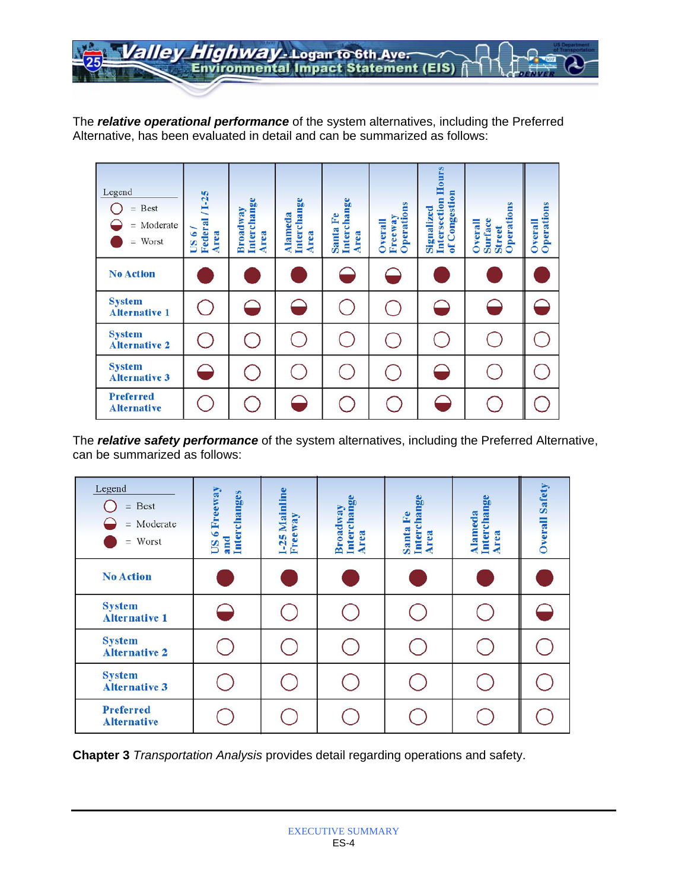Highway - Logan to 6th Ave.  $\sqrt{27}$ 

The *relative operational performance* of the system alternatives, including the Preferred Alternative, has been evaluated in detail and can be summarized as follows:

| Legend<br>$=$ Best<br>$=$ Moderate<br>$=$ Worst | Federal / 1-25<br>/9 SQ<br>Area | Interchange<br>Broadway<br>Area | Interchange<br><b>Alameda</b><br>Area | Interchange<br>$_{\rm Fe}$<br>Santa<br>Area | Operations<br>Freeway<br>Overall | <b>Intersection Hours</b><br>of Congestion<br>Signalized | Operations<br><b>Surface</b><br>Overall<br><b>Street</b> | Operations<br>Overall |
|-------------------------------------------------|---------------------------------|---------------------------------|---------------------------------------|---------------------------------------------|----------------------------------|----------------------------------------------------------|----------------------------------------------------------|-----------------------|
| <b>No Action</b>                                |                                 |                                 |                                       |                                             |                                  |                                                          |                                                          |                       |
| <b>System</b><br><b>Alternative 1</b>           |                                 |                                 |                                       |                                             |                                  |                                                          |                                                          |                       |
| <b>System</b><br><b>Alternative 2</b>           |                                 |                                 |                                       |                                             |                                  |                                                          |                                                          |                       |
| <b>System</b><br><b>Alternative 3</b>           | P                               |                                 |                                       |                                             |                                  |                                                          |                                                          |                       |
| <b>Preferred</b><br><b>Alternative</b>          |                                 |                                 |                                       |                                             |                                  |                                                          |                                                          |                       |

The *relative safety performance* of the system alternatives, including the Preferred Alternative, can be summarized as follows:

| Legend<br>Best<br>$=$<br>$=$ Moderate<br>$=$ Worst | US 6 Freeway<br>and<br>Interchanges | <b>I-25 Mainline</b><br>Freeway | Interchange<br>Broadway<br>Area | hange<br>£<br>Intercl<br>Santa<br>Area | Alameda<br>Interchange<br>Area | <b>Overall Safety</b> |
|----------------------------------------------------|-------------------------------------|---------------------------------|---------------------------------|----------------------------------------|--------------------------------|-----------------------|
| <b>No Action</b>                                   |                                     |                                 |                                 |                                        |                                |                       |
| <b>System</b><br><b>Alternative 1</b>              |                                     |                                 |                                 |                                        |                                |                       |
| <b>System</b><br><b>Alternative 2</b>              |                                     |                                 |                                 |                                        |                                |                       |
| <b>System</b><br><b>Alternative 3</b>              |                                     |                                 |                                 |                                        |                                |                       |
| <b>Preferred</b><br><b>Alternative</b>             |                                     |                                 |                                 |                                        |                                |                       |

**Chapter 3** *Transportation Analysis* provides detail regarding operations and safety.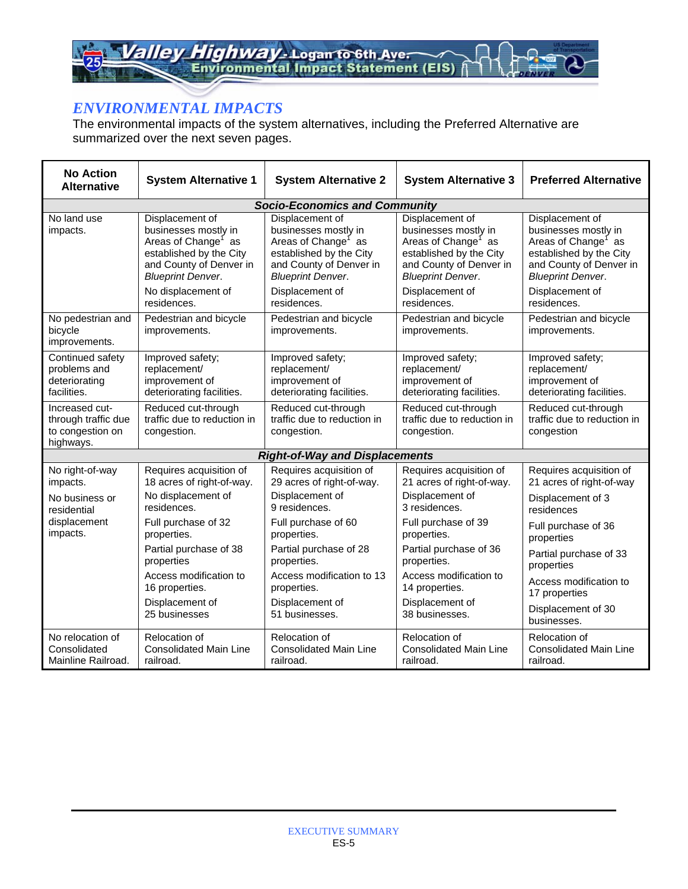Highway-Logan to 6th Ave. allev

# *ENVIRONMENTAL IMPACTS*

The environmental impacts of the system alternatives, including the Preferred Alternative are summarized over the next seven pages.

| <b>No Action</b><br><b>Alternative</b>                                 | <b>System Alternative 1</b>                                                                                                                                                        | <b>System Alternative 2</b>                                                                                                                                                     | <b>System Alternative 3</b>                                                                                                                                                     | <b>Preferred Alternative</b>                                                                                                                                                    |
|------------------------------------------------------------------------|------------------------------------------------------------------------------------------------------------------------------------------------------------------------------------|---------------------------------------------------------------------------------------------------------------------------------------------------------------------------------|---------------------------------------------------------------------------------------------------------------------------------------------------------------------------------|---------------------------------------------------------------------------------------------------------------------------------------------------------------------------------|
|                                                                        |                                                                                                                                                                                    | <b>Socio-Economics and Community</b>                                                                                                                                            |                                                                                                                                                                                 |                                                                                                                                                                                 |
| No land use<br>impacts.                                                | Displacement of<br>businesses mostly in<br>Areas of Change <sup>1</sup> as<br>established by the City<br>and County of Denver in<br><b>Blueprint Denver.</b><br>No displacement of | Displacement of<br>businesses mostly in<br>Areas of Change <sup>1</sup> as<br>established by the City<br>and County of Denver in<br><b>Blueprint Denver.</b><br>Displacement of | Displacement of<br>businesses mostly in<br>Areas of Change <sup>1</sup> as<br>established by the City<br>and County of Denver in<br><b>Blueprint Denver.</b><br>Displacement of | Displacement of<br>businesses mostly in<br>Areas of Change <sup>1</sup> as<br>established by the City<br>and County of Denver in<br><b>Blueprint Denver.</b><br>Displacement of |
|                                                                        | residences.                                                                                                                                                                        | residences.                                                                                                                                                                     | residences.                                                                                                                                                                     | residences.                                                                                                                                                                     |
| No pedestrian and<br>bicycle<br>improvements.                          | Pedestrian and bicycle<br>improvements.                                                                                                                                            | Pedestrian and bicycle<br>improvements.                                                                                                                                         | Pedestrian and bicycle<br>improvements.                                                                                                                                         | Pedestrian and bicycle<br>improvements.                                                                                                                                         |
| Continued safety                                                       | Improved safety;                                                                                                                                                                   | Improved safety;                                                                                                                                                                | Improved safety;                                                                                                                                                                | Improved safety;                                                                                                                                                                |
| problems and                                                           | replacement/                                                                                                                                                                       | replacement/                                                                                                                                                                    | replacement/                                                                                                                                                                    | replacement/                                                                                                                                                                    |
| deteriorating                                                          | improvement of                                                                                                                                                                     | improvement of                                                                                                                                                                  | improvement of                                                                                                                                                                  | improvement of                                                                                                                                                                  |
| facilities.                                                            | deteriorating facilities.                                                                                                                                                          | deteriorating facilities.                                                                                                                                                       | deteriorating facilities.                                                                                                                                                       | deteriorating facilities.                                                                                                                                                       |
| Increased cut-<br>through traffic due<br>to congestion on<br>highways. | Reduced cut-through<br>traffic due to reduction in<br>congestion.                                                                                                                  | Reduced cut-through<br>traffic due to reduction in<br>congestion.                                                                                                               | Reduced cut-through<br>traffic due to reduction in<br>congestion.                                                                                                               | Reduced cut-through<br>traffic due to reduction in<br>congestion                                                                                                                |
|                                                                        |                                                                                                                                                                                    | <b>Right-of-Way and Displacements</b>                                                                                                                                           |                                                                                                                                                                                 |                                                                                                                                                                                 |
| No right-of-way                                                        | Requires acquisition of                                                                                                                                                            | Requires acquisition of                                                                                                                                                         | Requires acquisition of                                                                                                                                                         | Requires acquisition of                                                                                                                                                         |
| impacts.                                                               | 18 acres of right-of-way.                                                                                                                                                          | 29 acres of right-of-way.                                                                                                                                                       | 21 acres of right-of-way.                                                                                                                                                       | 21 acres of right-of-way                                                                                                                                                        |
| No business or                                                         | No displacement of                                                                                                                                                                 | Displacement of                                                                                                                                                                 | Displacement of                                                                                                                                                                 | Displacement of 3                                                                                                                                                               |
| residential                                                            | residences.                                                                                                                                                                        | 9 residences.                                                                                                                                                                   | 3 residences.                                                                                                                                                                   | residences                                                                                                                                                                      |
| displacement                                                           | Full purchase of 32                                                                                                                                                                | Full purchase of 60                                                                                                                                                             | Full purchase of 39                                                                                                                                                             | Full purchase of 36                                                                                                                                                             |
| impacts.                                                               | properties.                                                                                                                                                                        | properties.                                                                                                                                                                     | properties.                                                                                                                                                                     | properties                                                                                                                                                                      |
|                                                                        | Partial purchase of 38                                                                                                                                                             | Partial purchase of 28                                                                                                                                                          | Partial purchase of 36                                                                                                                                                          | Partial purchase of 33                                                                                                                                                          |
|                                                                        | properties                                                                                                                                                                         | properties.                                                                                                                                                                     | properties.                                                                                                                                                                     | properties                                                                                                                                                                      |
|                                                                        | Access modification to                                                                                                                                                             | Access modification to 13                                                                                                                                                       | Access modification to                                                                                                                                                          | Access modification to                                                                                                                                                          |
|                                                                        | 16 properties.                                                                                                                                                                     | properties.                                                                                                                                                                     | 14 properties.                                                                                                                                                                  | 17 properties                                                                                                                                                                   |
|                                                                        | Displacement of                                                                                                                                                                    | Displacement of                                                                                                                                                                 | Displacement of                                                                                                                                                                 | Displacement of 30                                                                                                                                                              |
|                                                                        | 25 businesses                                                                                                                                                                      | 51 businesses.                                                                                                                                                                  | 38 businesses.                                                                                                                                                                  | businesses.                                                                                                                                                                     |
| No relocation of                                                       | Relocation of                                                                                                                                                                      | Relocation of                                                                                                                                                                   | Relocation of                                                                                                                                                                   | Relocation of                                                                                                                                                                   |
| Consolidated                                                           | <b>Consolidated Main Line</b>                                                                                                                                                      | <b>Consolidated Main Line</b>                                                                                                                                                   | <b>Consolidated Main Line</b>                                                                                                                                                   | <b>Consolidated Main Line</b>                                                                                                                                                   |
| Mainline Railroad.                                                     | railroad.                                                                                                                                                                          | railroad.                                                                                                                                                                       | railroad.                                                                                                                                                                       | railroad.                                                                                                                                                                       |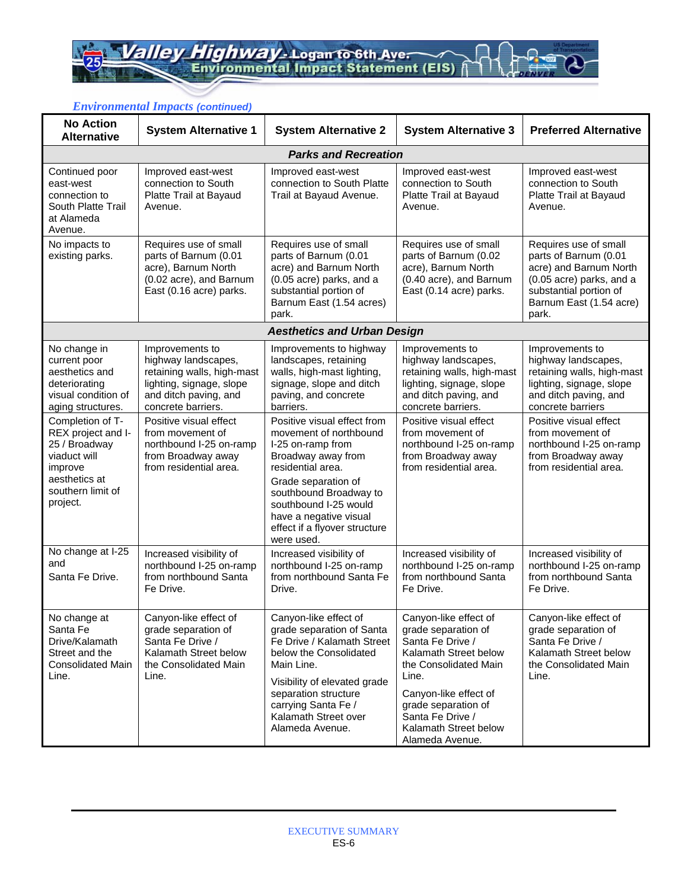| <b>No Action</b><br><b>Alternative</b>                                                                                               | <b>System Alternative 1</b>                                                                                                                     | <b>System Alternative 2</b>                                                                                                                                                                                                                                              | <b>System Alternative 3</b>                                                                                                                                                                                                                 | <b>Preferred Alternative</b>                                                                                                                                       |
|--------------------------------------------------------------------------------------------------------------------------------------|-------------------------------------------------------------------------------------------------------------------------------------------------|--------------------------------------------------------------------------------------------------------------------------------------------------------------------------------------------------------------------------------------------------------------------------|---------------------------------------------------------------------------------------------------------------------------------------------------------------------------------------------------------------------------------------------|--------------------------------------------------------------------------------------------------------------------------------------------------------------------|
|                                                                                                                                      |                                                                                                                                                 | <b>Parks and Recreation</b>                                                                                                                                                                                                                                              |                                                                                                                                                                                                                                             |                                                                                                                                                                    |
| Continued poor<br>east-west<br>connection to<br>South Platte Trail<br>at Alameda<br>Avenue.                                          | Improved east-west<br>connection to South<br>Platte Trail at Bayaud<br>Avenue.                                                                  | Improved east-west<br>connection to South Platte<br>Trail at Bayaud Avenue.                                                                                                                                                                                              | Improved east-west<br>connection to South<br>Platte Trail at Bayaud<br>Avenue.                                                                                                                                                              | Improved east-west<br>connection to South<br>Platte Trail at Bayaud<br>Avenue.                                                                                     |
| No impacts to<br>existing parks.                                                                                                     | Requires use of small<br>parts of Barnum (0.01<br>acre), Barnum North<br>(0.02 acre), and Barnum<br>East (0.16 acre) parks.                     | Requires use of small<br>parts of Barnum (0.01<br>acre) and Barnum North<br>(0.05 acre) parks, and a<br>substantial portion of<br>Barnum East (1.54 acres)<br>park.                                                                                                      | Requires use of small<br>parts of Barnum (0.02<br>acre), Barnum North<br>(0.40 acre), and Barnum<br>East (0.14 acre) parks.                                                                                                                 | Requires use of small<br>parts of Barnum (0.01<br>acre) and Barnum North<br>(0.05 acre) parks, and a<br>substantial portion of<br>Barnum East (1.54 acre)<br>park. |
|                                                                                                                                      |                                                                                                                                                 | <b>Aesthetics and Urban Design</b>                                                                                                                                                                                                                                       |                                                                                                                                                                                                                                             |                                                                                                                                                                    |
| No change in<br>current poor<br>aesthetics and<br>deteriorating<br>visual condition of<br>aging structures.                          | Improvements to<br>highway landscapes,<br>retaining walls, high-mast<br>lighting, signage, slope<br>and ditch paving, and<br>concrete barriers. | Improvements to highway<br>landscapes, retaining<br>walls, high-mast lighting,<br>signage, slope and ditch<br>paving, and concrete<br>barriers.                                                                                                                          | Improvements to<br>highway landscapes,<br>retaining walls, high-mast<br>lighting, signage, slope<br>and ditch paving, and<br>concrete barriers.                                                                                             | Improvements to<br>highway landscapes,<br>retaining walls, high-mast<br>lighting, signage, slope<br>and ditch paving, and<br>concrete barriers                     |
| Completion of T-<br>REX project and I-<br>25 / Broadway<br>viaduct will<br>improve<br>aesthetics at<br>southern limit of<br>project. | Positive visual effect<br>from movement of<br>northbound I-25 on-ramp<br>from Broadway away<br>from residential area.                           | Positive visual effect from<br>movement of northbound<br>I-25 on-ramp from<br>Broadway away from<br>residential area.<br>Grade separation of<br>southbound Broadway to<br>southbound I-25 would<br>have a negative visual<br>effect if a flyover structure<br>were used. | Positive visual effect<br>from movement of<br>northbound I-25 on-ramp<br>from Broadway away<br>from residential area.                                                                                                                       | Positive visual effect<br>from movement of<br>northbound I-25 on-ramp<br>from Broadway away<br>from residential area.                                              |
| No change at I-25<br>and<br>Santa Fe Drive.                                                                                          | Increased visibility of<br>northbound I-25 on-ramp<br>from northbound Santa<br>Fe Drive.                                                        | Increased visibility of<br>northbound I-25 on-ramp<br>from northbound Santa Fe<br>Drive.                                                                                                                                                                                 | Increased visibility of<br>northbound I-25 on-ramp<br>from northbound Santa<br>Fe Drive.                                                                                                                                                    | Increased visibility of<br>northbound I-25 on-ramp<br>from northbound Santa<br>Fe Drive.                                                                           |
| No change at<br>Santa Fe<br>Drive/Kalamath<br>Street and the<br><b>Consolidated Main</b><br>Line.                                    | Canyon-like effect of<br>grade separation of<br>Santa Fe Drive /<br>Kalamath Street below<br>the Consolidated Main<br>Line.                     | Canyon-like effect of<br>grade separation of Santa<br>Fe Drive / Kalamath Street<br>below the Consolidated<br>Main Line.<br>Visibility of elevated grade<br>separation structure<br>carrying Santa Fe /<br>Kalamath Street over<br>Alameda Avenue.                       | Canyon-like effect of<br>grade separation of<br>Santa Fe Drive /<br>Kalamath Street below<br>the Consolidated Main<br>Line.<br>Canyon-like effect of<br>grade separation of<br>Santa Fe Drive /<br>Kalamath Street below<br>Alameda Avenue. | Canyon-like effect of<br>grade separation of<br>Santa Fe Drive /<br>Kalamath Street below<br>the Consolidated Main<br>Line.                                        |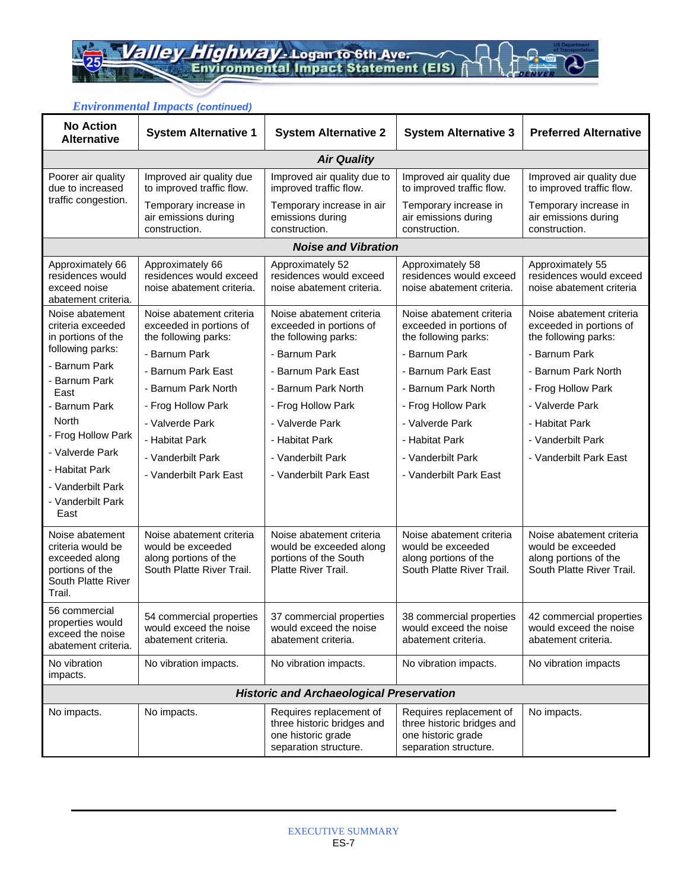| <b>No Action</b><br><b>Alternative</b>                                                                    | <b>System Alternative 1</b>                                                                         | <b>System Alternative 2</b>                                                                          | <b>System Alternative 3</b>                                                                          | <b>Preferred Alternative</b>                                                                        |
|-----------------------------------------------------------------------------------------------------------|-----------------------------------------------------------------------------------------------------|------------------------------------------------------------------------------------------------------|------------------------------------------------------------------------------------------------------|-----------------------------------------------------------------------------------------------------|
|                                                                                                           |                                                                                                     | <b>Air Quality</b>                                                                                   |                                                                                                      |                                                                                                     |
| Poorer air quality<br>due to increased                                                                    | Improved air quality due<br>to improved traffic flow.                                               | Improved air quality due to<br>improved traffic flow.                                                | Improved air quality due<br>to improved traffic flow.                                                | Improved air quality due<br>to improved traffic flow.                                               |
| traffic congestion.                                                                                       | Temporary increase in<br>air emissions during<br>construction.                                      | Temporary increase in air<br>emissions during<br>construction.                                       | Temporary increase in<br>air emissions during<br>construction.                                       | Temporary increase in<br>air emissions during<br>construction.                                      |
|                                                                                                           |                                                                                                     | <b>Noise and Vibration</b>                                                                           |                                                                                                      |                                                                                                     |
| Approximately 66<br>residences would<br>exceed noise<br>abatement criteria.                               | Approximately 66<br>residences would exceed<br>noise abatement criteria.                            | Approximately 52<br>residences would exceed<br>noise abatement criteria.                             | Approximately 58<br>residences would exceed<br>noise abatement criteria.                             | Approximately 55<br>residences would exceed<br>noise abatement criteria                             |
| Noise abatement<br>criteria exceeded<br>in portions of the                                                | Noise abatement criteria<br>exceeded in portions of<br>the following parks:                         | Noise abatement criteria<br>exceeded in portions of<br>the following parks:                          | Noise abatement criteria<br>exceeded in portions of<br>the following parks:                          | Noise abatement criteria<br>exceeded in portions of<br>the following parks:                         |
| following parks:                                                                                          | - Barnum Park                                                                                       | - Barnum Park                                                                                        | - Barnum Park                                                                                        | - Barnum Park                                                                                       |
| - Barnum Park                                                                                             | - Barnum Park East                                                                                  | - Barnum Park East                                                                                   | - Barnum Park East                                                                                   | - Barnum Park North                                                                                 |
| - Barnum Park<br>East                                                                                     | - Barnum Park North                                                                                 | - Barnum Park North                                                                                  | - Barnum Park North                                                                                  | - Frog Hollow Park                                                                                  |
| - Barnum Park                                                                                             | - Frog Hollow Park                                                                                  | - Frog Hollow Park                                                                                   | - Frog Hollow Park                                                                                   | - Valverde Park                                                                                     |
| North                                                                                                     | - Valverde Park                                                                                     | - Valverde Park                                                                                      | - Valverde Park                                                                                      | - Habitat Park                                                                                      |
| - Frog Hollow Park                                                                                        | - Habitat Park                                                                                      | - Habitat Park                                                                                       | - Habitat Park                                                                                       | - Vanderbilt Park                                                                                   |
| - Valverde Park                                                                                           | - Vanderbilt Park                                                                                   | - Vanderbilt Park                                                                                    | - Vanderbilt Park                                                                                    | - Vanderbilt Park East                                                                              |
| - Habitat Park                                                                                            | - Vanderbilt Park East                                                                              | - Vanderbilt Park East                                                                               | - Vanderbilt Park East                                                                               |                                                                                                     |
| - Vanderbilt Park<br>- Vanderbilt Park<br>East                                                            |                                                                                                     |                                                                                                      |                                                                                                      |                                                                                                     |
| Noise abatement<br>criteria would be<br>exceeded along<br>portions of the<br>South Platte River<br>Trail. | Noise abatement criteria<br>would be exceeded<br>along portions of the<br>South Platte River Trail. | Noise abatement criteria<br>would be exceeded along<br>portions of the South<br>Platte River Trail.  | Noise abatement criteria<br>would be exceeded<br>along portions of the<br>South Platte River Trail.  | Noise abatement criteria<br>would be exceeded<br>along portions of the<br>South Platte River Trail. |
| 56 commercial<br>properties would<br>exceed the noise<br>abatement criteria.                              | 54 commercial properties<br>would exceed the noise<br>abatement criteria.                           | 37 commercial properties<br>would exceed the noise<br>abatement criteria.                            | 38 commercial properties<br>would exceed the noise<br>abatement criteria.                            | 42 commercial properties<br>would exceed the noise<br>abatement criteria.                           |
| No vibration<br>impacts.                                                                                  | No vibration impacts.                                                                               | No vibration impacts.                                                                                | No vibration impacts.                                                                                | No vibration impacts                                                                                |
|                                                                                                           |                                                                                                     | <b>Historic and Archaeological Preservation</b>                                                      |                                                                                                      |                                                                                                     |
| No impacts.                                                                                               | No impacts.                                                                                         | Requires replacement of<br>three historic bridges and<br>one historic grade<br>separation structure. | Requires replacement of<br>three historic bridges and<br>one historic grade<br>separation structure. | No impacts.                                                                                         |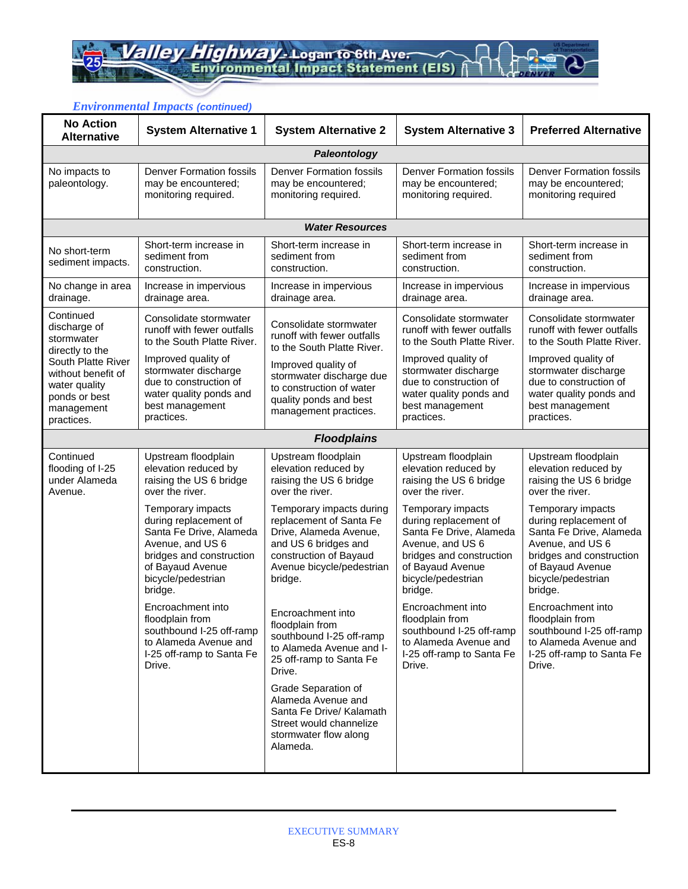| <b>No Action</b><br><b>Alternative</b>                                                                 | $1.91$ $$ $$ $$ $$ $$ $$ $$ $$<br><b>System Alternative 1</b>                                                                                                              | <b>System Alternative 2</b>                                                                                                                                             | <b>System Alternative 3</b>                                                                                                                                                | <b>Preferred Alternative</b>                                                                                                                                               |
|--------------------------------------------------------------------------------------------------------|----------------------------------------------------------------------------------------------------------------------------------------------------------------------------|-------------------------------------------------------------------------------------------------------------------------------------------------------------------------|----------------------------------------------------------------------------------------------------------------------------------------------------------------------------|----------------------------------------------------------------------------------------------------------------------------------------------------------------------------|
|                                                                                                        |                                                                                                                                                                            | Paleontology                                                                                                                                                            |                                                                                                                                                                            |                                                                                                                                                                            |
| No impacts to<br>paleontology.                                                                         | <b>Denver Formation fossils</b><br>may be encountered;<br>monitoring required.                                                                                             | <b>Denver Formation fossils</b><br>may be encountered;<br>monitoring required.                                                                                          | <b>Denver Formation fossils</b><br>may be encountered;<br>monitoring required.                                                                                             | <b>Denver Formation fossils</b><br>may be encountered;<br>monitoring required                                                                                              |
|                                                                                                        |                                                                                                                                                                            | <b>Water Resources</b>                                                                                                                                                  |                                                                                                                                                                            |                                                                                                                                                                            |
| No short-term<br>sediment impacts.                                                                     | Short-term increase in<br>sediment from<br>construction.                                                                                                                   | Short-term increase in<br>sediment from<br>construction.                                                                                                                | Short-term increase in<br>sediment from<br>construction.                                                                                                                   | Short-term increase in<br>sediment from<br>construction.                                                                                                                   |
| No change in area<br>drainage.                                                                         | Increase in impervious<br>drainage area.                                                                                                                                   | Increase in impervious<br>drainage area.                                                                                                                                | Increase in impervious<br>drainage area.                                                                                                                                   | Increase in impervious<br>drainage area.                                                                                                                                   |
| Continued<br>discharge of<br>stormwater<br>directly to the                                             | Consolidate stormwater<br>runoff with fewer outfalls<br>to the South Platte River.                                                                                         | Consolidate stormwater<br>runoff with fewer outfalls<br>to the South Platte River.                                                                                      | Consolidate stormwater<br>runoff with fewer outfalls<br>to the South Platte River.                                                                                         | Consolidate stormwater<br>runoff with fewer outfalls<br>to the South Platte River.                                                                                         |
| South Platte River<br>without benefit of<br>water quality<br>ponds or best<br>management<br>practices. | Improved quality of<br>stormwater discharge<br>due to construction of<br>water quality ponds and<br>best management<br>practices.                                          | Improved quality of<br>stormwater discharge due<br>to construction of water<br>quality ponds and best<br>management practices.                                          | Improved quality of<br>stormwater discharge<br>due to construction of<br>water quality ponds and<br>best management<br>practices.                                          | Improved quality of<br>stormwater discharge<br>due to construction of<br>water quality ponds and<br>best management<br>practices.                                          |
|                                                                                                        |                                                                                                                                                                            | <b>Floodplains</b>                                                                                                                                                      |                                                                                                                                                                            |                                                                                                                                                                            |
| Continued<br>flooding of I-25<br>under Alameda<br>Avenue.                                              | Upstream floodplain<br>elevation reduced by<br>raising the US 6 bridge<br>over the river.                                                                                  | Upstream floodplain<br>elevation reduced by<br>raising the US 6 bridge<br>over the river.                                                                               | Upstream floodplain<br>elevation reduced by<br>raising the US 6 bridge<br>over the river.                                                                                  | Upstream floodplain<br>elevation reduced by<br>raising the US 6 bridge<br>over the river.                                                                                  |
|                                                                                                        | Temporary impacts<br>during replacement of<br>Santa Fe Drive, Alameda<br>Avenue, and US 6<br>bridges and construction<br>of Bayaud Avenue<br>bicycle/pedestrian<br>bridge. | Temporary impacts during<br>replacement of Santa Fe<br>Drive, Alameda Avenue,<br>and US 6 bridges and<br>construction of Bayaud<br>Avenue bicycle/pedestrian<br>bridge. | Temporary impacts<br>during replacement of<br>Santa Fe Drive, Alameda<br>Avenue, and US 6<br>bridges and construction<br>of Bayaud Avenue<br>bicycle/pedestrian<br>bridge. | Temporary impacts<br>during replacement of<br>Santa Fe Drive, Alameda<br>Avenue, and US 6<br>bridges and construction<br>of Bayaud Avenue<br>bicycle/pedestrian<br>bridge. |
|                                                                                                        | Encroachment into<br>floodplain from<br>southbound I-25 off-ramp<br>to Alameda Avenue and<br>I-25 off-ramp to Santa Fe<br>Drive.                                           | Encroachment into<br>floodplain from<br>southbound I-25 off-ramp<br>to Alameda Avenue and I-<br>25 off-ramp to Santa Fe<br>Drive.                                       | Encroachment into<br>floodplain from<br>southbound I-25 off-ramp<br>to Alameda Avenue and<br>I-25 off-ramp to Santa Fe<br>Drive.                                           | Encroachment into<br>floodplain from<br>southbound I-25 off-ramp<br>to Alameda Avenue and<br>I-25 off-ramp to Santa Fe<br>Drive.                                           |
|                                                                                                        |                                                                                                                                                                            | Grade Separation of<br>Alameda Avenue and<br>Santa Fe Drive/ Kalamath<br>Street would channelize<br>stormwater flow along<br>Alameda.                                   |                                                                                                                                                                            |                                                                                                                                                                            |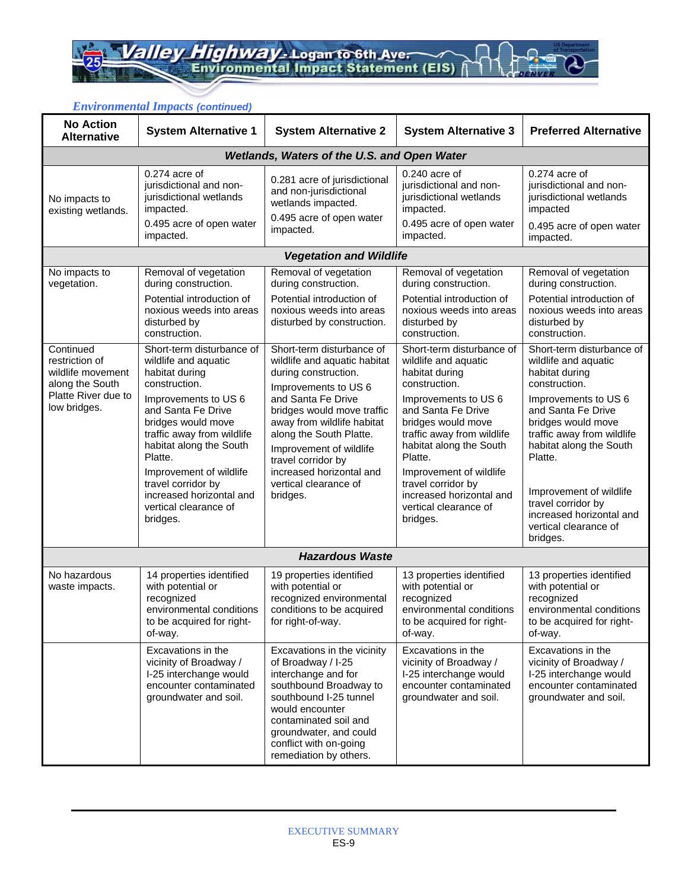| <b>No Action</b><br><b>Alternative</b>                                                                     | <b>System Alternative 1</b>                                                                                                                                                                                                                                                                                                                                     | <b>System Alternative 2</b>                                                                                                                                                                                                                                                                                                              | <b>System Alternative 3</b>                                                                                                                                                                                                                                                                                                                                     | <b>Preferred Alternative</b>                                                                                                                                                                                                                                                                                                                                    |
|------------------------------------------------------------------------------------------------------------|-----------------------------------------------------------------------------------------------------------------------------------------------------------------------------------------------------------------------------------------------------------------------------------------------------------------------------------------------------------------|------------------------------------------------------------------------------------------------------------------------------------------------------------------------------------------------------------------------------------------------------------------------------------------------------------------------------------------|-----------------------------------------------------------------------------------------------------------------------------------------------------------------------------------------------------------------------------------------------------------------------------------------------------------------------------------------------------------------|-----------------------------------------------------------------------------------------------------------------------------------------------------------------------------------------------------------------------------------------------------------------------------------------------------------------------------------------------------------------|
|                                                                                                            |                                                                                                                                                                                                                                                                                                                                                                 | Wetlands, Waters of the U.S. and Open Water                                                                                                                                                                                                                                                                                              |                                                                                                                                                                                                                                                                                                                                                                 |                                                                                                                                                                                                                                                                                                                                                                 |
| No impacts to<br>existing wetlands.                                                                        | $0.274$ acre of<br>jurisdictional and non-<br>jurisdictional wetlands<br>impacted.                                                                                                                                                                                                                                                                              | 0.281 acre of jurisdictional<br>and non-jurisdictional<br>wetlands impacted.<br>0.495 acre of open water                                                                                                                                                                                                                                 | $0.240$ acre of<br>jurisdictional and non-<br>jurisdictional wetlands<br>impacted.                                                                                                                                                                                                                                                                              | $0.274$ acre of<br>jurisdictional and non-<br>jurisdictional wetlands<br>impacted                                                                                                                                                                                                                                                                               |
|                                                                                                            | 0.495 acre of open water<br>impacted.                                                                                                                                                                                                                                                                                                                           | impacted.                                                                                                                                                                                                                                                                                                                                | 0.495 acre of open water<br>impacted.                                                                                                                                                                                                                                                                                                                           | 0.495 acre of open water<br>impacted.                                                                                                                                                                                                                                                                                                                           |
|                                                                                                            |                                                                                                                                                                                                                                                                                                                                                                 | <b>Vegetation and Wildlife</b>                                                                                                                                                                                                                                                                                                           |                                                                                                                                                                                                                                                                                                                                                                 |                                                                                                                                                                                                                                                                                                                                                                 |
| No impacts to<br>vegetation.                                                                               | Removal of vegetation<br>during construction.<br>Potential introduction of<br>noxious weeds into areas<br>disturbed by                                                                                                                                                                                                                                          | Removal of vegetation<br>during construction.<br>Potential introduction of<br>noxious weeds into areas<br>disturbed by construction.                                                                                                                                                                                                     | Removal of vegetation<br>during construction.<br>Potential introduction of<br>noxious weeds into areas<br>disturbed by                                                                                                                                                                                                                                          | Removal of vegetation<br>during construction.<br>Potential introduction of<br>noxious weeds into areas<br>disturbed by                                                                                                                                                                                                                                          |
| Continued<br>restriction of<br>wildlife movement<br>along the South<br>Platte River due to<br>low bridges. | construction.<br>Short-term disturbance of<br>wildlife and aquatic<br>habitat during<br>construction.<br>Improvements to US 6<br>and Santa Fe Drive<br>bridges would move<br>traffic away from wildlife<br>habitat along the South<br>Platte.<br>Improvement of wildlife<br>travel corridor by<br>increased horizontal and<br>vertical clearance of<br>bridges. | Short-term disturbance of<br>wildlife and aquatic habitat<br>during construction.<br>Improvements to US 6<br>and Santa Fe Drive<br>bridges would move traffic<br>away from wildlife habitat<br>along the South Platte.<br>Improvement of wildlife<br>travel corridor by<br>increased horizontal and<br>vertical clearance of<br>bridges. | construction.<br>Short-term disturbance of<br>wildlife and aquatic<br>habitat during<br>construction.<br>Improvements to US 6<br>and Santa Fe Drive<br>bridges would move<br>traffic away from wildlife<br>habitat along the South<br>Platte.<br>Improvement of wildlife<br>travel corridor by<br>increased horizontal and<br>vertical clearance of<br>bridges. | construction.<br>Short-term disturbance of<br>wildlife and aquatic<br>habitat during<br>construction.<br>Improvements to US 6<br>and Santa Fe Drive<br>bridges would move<br>traffic away from wildlife<br>habitat along the South<br>Platte.<br>Improvement of wildlife<br>travel corridor by<br>increased horizontal and<br>vertical clearance of<br>bridges. |
|                                                                                                            |                                                                                                                                                                                                                                                                                                                                                                 | <b>Hazardous Waste</b>                                                                                                                                                                                                                                                                                                                   |                                                                                                                                                                                                                                                                                                                                                                 |                                                                                                                                                                                                                                                                                                                                                                 |
| No hazardous<br>waste impacts.                                                                             | 14 properties identified<br>with potential or<br>recognized<br>environmental conditions<br>to be acquired for right-<br>of-way.                                                                                                                                                                                                                                 | 19 properties identified<br>with potential or<br>recognized environmental<br>conditions to be acquired<br>for right-of-way.                                                                                                                                                                                                              | 13 properties identified<br>with potential or<br>recognized<br>environmental conditions<br>to be acquired for right-<br>of-way.                                                                                                                                                                                                                                 | 13 properties identified<br>with potential or<br>recognized<br>environmental conditions<br>to be acquired for right-<br>of-way.                                                                                                                                                                                                                                 |
|                                                                                                            | Excavations in the<br>vicinity of Broadway /<br>I-25 interchange would<br>encounter contaminated<br>groundwater and soil.                                                                                                                                                                                                                                       | Excavations in the vicinity<br>of Broadway / I-25<br>interchange and for<br>southbound Broadway to<br>southbound I-25 tunnel<br>would encounter<br>contaminated soil and<br>groundwater, and could<br>conflict with on-going<br>remediation by others.                                                                                   | Excavations in the<br>vicinity of Broadway /<br>I-25 interchange would<br>encounter contaminated<br>groundwater and soil.                                                                                                                                                                                                                                       | Excavations in the<br>vicinity of Broadway /<br>I-25 interchange would<br>encounter contaminated<br>groundwater and soil.                                                                                                                                                                                                                                       |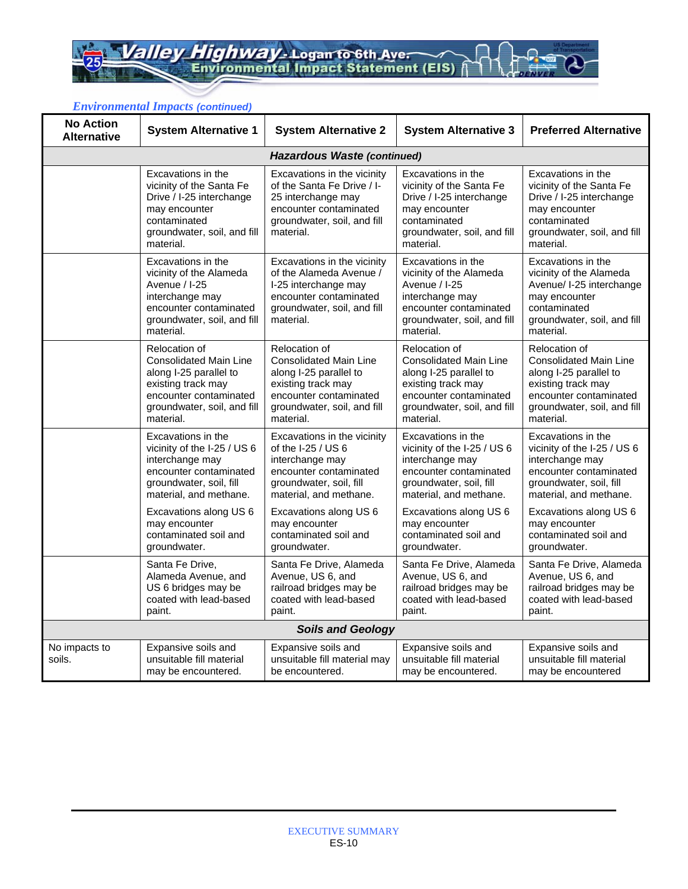| <b>No Action</b><br><b>Alternative</b> | <b>System Alternative 1</b>                                                                                                                                                                    | <b>System Alternative 2</b>                                                                                                                                                                      | <b>System Alternative 3</b>                                                                                                                                                                    | <b>Preferred Alternative</b>                                                                                                                                                                   |
|----------------------------------------|------------------------------------------------------------------------------------------------------------------------------------------------------------------------------------------------|--------------------------------------------------------------------------------------------------------------------------------------------------------------------------------------------------|------------------------------------------------------------------------------------------------------------------------------------------------------------------------------------------------|------------------------------------------------------------------------------------------------------------------------------------------------------------------------------------------------|
|                                        |                                                                                                                                                                                                | <b>Hazardous Waste (continued)</b>                                                                                                                                                               |                                                                                                                                                                                                |                                                                                                                                                                                                |
|                                        | Excavations in the<br>vicinity of the Santa Fe<br>Drive / I-25 interchange<br>may encounter<br>contaminated<br>groundwater, soil, and fill<br>material.                                        | Excavations in the vicinity<br>of the Santa Fe Drive / I-<br>25 interchange may<br>encounter contaminated<br>groundwater, soil, and fill<br>material.                                            | Excavations in the<br>vicinity of the Santa Fe<br>Drive / I-25 interchange<br>may encounter<br>contaminated<br>groundwater, soil, and fill<br>material.                                        | Excavations in the<br>vicinity of the Santa Fe<br>Drive / I-25 interchange<br>may encounter<br>contaminated<br>groundwater, soil, and fill<br>material.                                        |
|                                        | Excavations in the<br>vicinity of the Alameda<br>Avenue / I-25<br>interchange may<br>encounter contaminated<br>groundwater, soil, and fill<br>material.                                        | Excavations in the vicinity<br>of the Alameda Avenue /<br>I-25 interchange may<br>encounter contaminated<br>groundwater, soil, and fill<br>material.                                             | Excavations in the<br>vicinity of the Alameda<br>Avenue / I-25<br>interchange may<br>encounter contaminated<br>groundwater, soil, and fill<br>material.                                        | Excavations in the<br>vicinity of the Alameda<br>Avenue/ I-25 interchange<br>may encounter<br>contaminated<br>groundwater, soil, and fill<br>material.                                         |
|                                        | Relocation of<br><b>Consolidated Main Line</b><br>along I-25 parallel to<br>existing track may<br>encounter contaminated<br>groundwater, soil, and fill<br>material.                           | Relocation of<br><b>Consolidated Main Line</b><br>along I-25 parallel to<br>existing track may<br>encounter contaminated<br>groundwater, soil, and fill<br>material.                             | Relocation of<br><b>Consolidated Main Line</b><br>along I-25 parallel to<br>existing track may<br>encounter contaminated<br>groundwater, soil, and fill<br>material.                           | Relocation of<br><b>Consolidated Main Line</b><br>along I-25 parallel to<br>existing track may<br>encounter contaminated<br>groundwater, soil, and fill<br>material.                           |
|                                        | Excavations in the<br>vicinity of the I-25 / US 6<br>interchange may<br>encounter contaminated<br>groundwater, soil, fill<br>material, and methane.<br>Excavations along US 6<br>may encounter | Excavations in the vicinity<br>of the $1-25 / US 6$<br>interchange may<br>encounter contaminated<br>groundwater, soil, fill<br>material, and methane.<br>Excavations along US 6<br>may encounter | Excavations in the<br>vicinity of the I-25 / US 6<br>interchange may<br>encounter contaminated<br>groundwater, soil, fill<br>material, and methane.<br>Excavations along US 6<br>may encounter | Excavations in the<br>vicinity of the I-25 / US 6<br>interchange may<br>encounter contaminated<br>groundwater, soil, fill<br>material, and methane.<br>Excavations along US 6<br>may encounter |
|                                        | contaminated soil and<br>groundwater.                                                                                                                                                          | contaminated soil and<br>groundwater.                                                                                                                                                            | contaminated soil and<br>groundwater.                                                                                                                                                          | contaminated soil and<br>groundwater.                                                                                                                                                          |
|                                        | Santa Fe Drive,<br>Alameda Avenue, and<br>US 6 bridges may be<br>coated with lead-based<br>paint.                                                                                              | Santa Fe Drive, Alameda<br>Avenue, US 6, and<br>railroad bridges may be<br>coated with lead-based<br>paint.                                                                                      | Santa Fe Drive, Alameda<br>Avenue, US 6, and<br>railroad bridges may be<br>coated with lead-based<br>paint.                                                                                    | Santa Fe Drive, Alameda<br>Avenue, US 6, and<br>railroad bridges may be<br>coated with lead-based<br>paint.                                                                                    |
|                                        |                                                                                                                                                                                                | <b>Soils and Geology</b>                                                                                                                                                                         |                                                                                                                                                                                                |                                                                                                                                                                                                |
| No impacts to<br>soils.                | Expansive soils and<br>unsuitable fill material<br>may be encountered.                                                                                                                         | Expansive soils and<br>unsuitable fill material may<br>be encountered.                                                                                                                           | Expansive soils and<br>unsuitable fill material<br>may be encountered.                                                                                                                         | Expansive soils and<br>unsuitable fill material<br>may be encountered                                                                                                                          |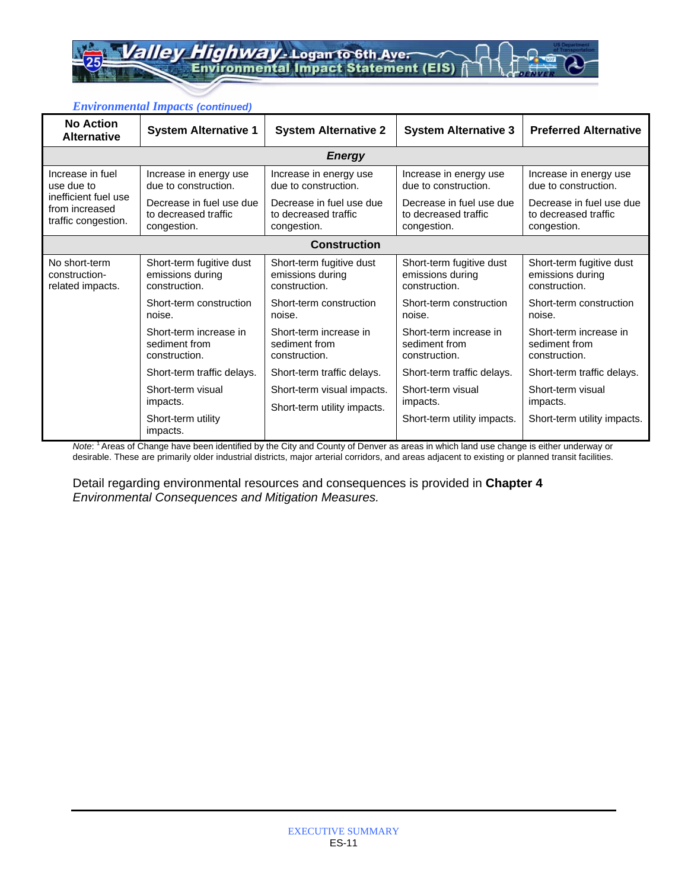Highway - Logan to 6th Ave. lev

#### *Environmental Impacts (continued)*

| <b>No Action</b><br><b>Alternative</b> | <b>System Alternative 1</b>    | <b>System Alternative 2</b> | <b>System Alternative 3</b> | <b>Preferred Alternative</b> |
|----------------------------------------|--------------------------------|-----------------------------|-----------------------------|------------------------------|
|                                        |                                | <b>Energy</b>               |                             |                              |
| Increase in fuel                       | Increase in energy use         | Increase in energy use      | Increase in energy use      | Increase in energy use       |
| use due to                             | due to construction.           | due to construction.        | due to construction.        | due to construction.         |
| inefficient fuel use                   | Decrease in fuel use due       | Decrease in fuel use due    | Decrease in fuel use due    | Decrease in fuel use due     |
| from increased                         | to decreased traffic           | to decreased traffic        | to decreased traffic        | to decreased traffic         |
| traffic congestion.                    | congestion.                    | congestion.                 | congestion.                 | congestion.                  |
|                                        |                                | <b>Construction</b>         |                             |                              |
| No short-term                          | Short-term fugitive dust       | Short-term fugitive dust    | Short-term fugitive dust    | Short-term fugitive dust     |
| construction-                          | emissions during               | emissions during            | emissions during            | emissions during             |
| related impacts.                       | construction.                  | construction.               | construction.               | construction.                |
|                                        | Short-term construction        | Short-term construction     | Short-term construction     | Short-term construction      |
|                                        | noise.                         | noise.                      | noise.                      | noise.                       |
|                                        | Short-term increase in         | Short-term increase in      | Short-term increase in      | Short-term increase in       |
|                                        | sediment from                  | sediment from               | sediment from               | sediment from                |
|                                        | construction.                  | construction.               | construction.               | construction.                |
|                                        | Short-term traffic delays.     | Short-term traffic delays.  | Short-term traffic delays.  | Short-term traffic delays.   |
|                                        | Short-term visual              | Short-term visual impacts.  | Short-term visual           | Short-term visual            |
|                                        | impacts.                       | Short-term utility impacts. | impacts.                    | impacts.                     |
|                                        | Short-term utility<br>impacts. |                             | Short-term utility impacts. | Short-term utility impacts.  |

*Note*: 1 Areas of Change have been identified by the City and County of Denver as areas in which land use change is either underway or desirable. These are primarily older industrial districts, major arterial corridors, and areas adjacent to existing or planned transit facilities.

Detail regarding environmental resources and consequences is provided in **Chapter 4** *Environmental Consequences and Mitigation Measures.*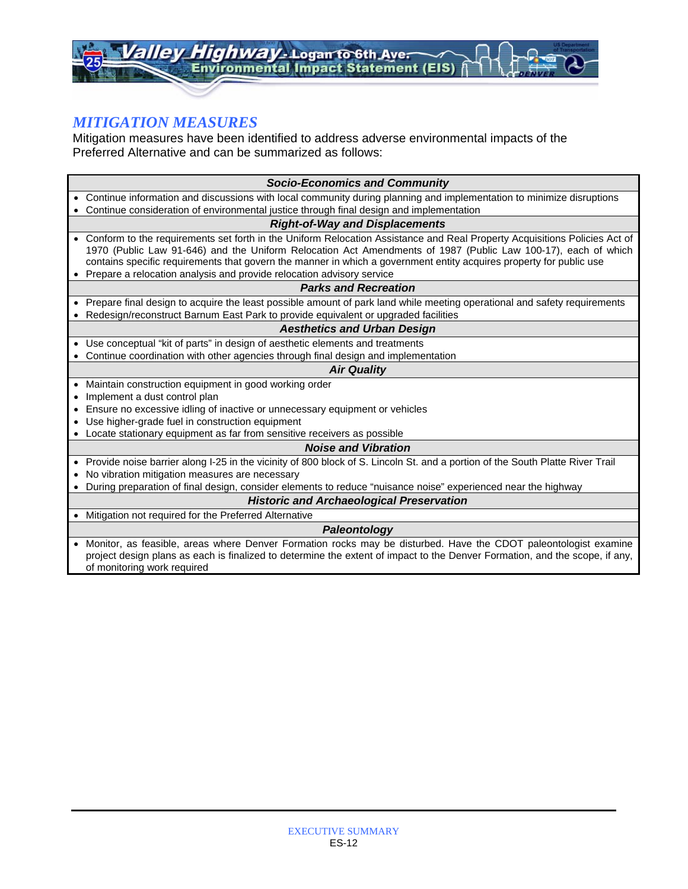# *MITIGATION MEASURES*

Mitigation measures have been identified to address adverse environmental impacts of the Preferred Alternative and can be summarized as follows:

|           | <b>Socio-Economics and Community</b>                                                                                                                                                                                                                                                                                                                              |
|-----------|-------------------------------------------------------------------------------------------------------------------------------------------------------------------------------------------------------------------------------------------------------------------------------------------------------------------------------------------------------------------|
| $\bullet$ | Continue information and discussions with local community during planning and implementation to minimize disruptions                                                                                                                                                                                                                                              |
|           | Continue consideration of environmental justice through final design and implementation                                                                                                                                                                                                                                                                           |
|           | <b>Right-of-Way and Displacements</b>                                                                                                                                                                                                                                                                                                                             |
| $\bullet$ | Conform to the requirements set forth in the Uniform Relocation Assistance and Real Property Acquisitions Policies Act of<br>1970 (Public Law 91-646) and the Uniform Relocation Act Amendments of 1987 (Public Law 100-17), each of which<br>contains specific requirements that govern the manner in which a government entity acquires property for public use |
|           | Prepare a relocation analysis and provide relocation advisory service                                                                                                                                                                                                                                                                                             |
|           | <b>Parks and Recreation</b>                                                                                                                                                                                                                                                                                                                                       |
| $\bullet$ | Prepare final design to acquire the least possible amount of park land while meeting operational and safety requirements                                                                                                                                                                                                                                          |
|           | Redesign/reconstruct Barnum East Park to provide equivalent or upgraded facilities                                                                                                                                                                                                                                                                                |
|           | <b>Aesthetics and Urban Design</b>                                                                                                                                                                                                                                                                                                                                |
| $\bullet$ | Use conceptual "kit of parts" in design of aesthetic elements and treatments                                                                                                                                                                                                                                                                                      |
|           | Continue coordination with other agencies through final design and implementation                                                                                                                                                                                                                                                                                 |
|           | <b>Air Quality</b>                                                                                                                                                                                                                                                                                                                                                |
| $\bullet$ | Maintain construction equipment in good working order                                                                                                                                                                                                                                                                                                             |
|           | Implement a dust control plan                                                                                                                                                                                                                                                                                                                                     |
|           | Ensure no excessive idling of inactive or unnecessary equipment or vehicles                                                                                                                                                                                                                                                                                       |
|           | Use higher-grade fuel in construction equipment                                                                                                                                                                                                                                                                                                                   |
|           | Locate stationary equipment as far from sensitive receivers as possible                                                                                                                                                                                                                                                                                           |
|           | <b>Noise and Vibration</b>                                                                                                                                                                                                                                                                                                                                        |
| $\bullet$ | Provide noise barrier along I-25 in the vicinity of 800 block of S. Lincoln St. and a portion of the South Platte River Trail                                                                                                                                                                                                                                     |
|           | No vibration mitigation measures are necessary                                                                                                                                                                                                                                                                                                                    |
| $\bullet$ | During preparation of final design, consider elements to reduce "nuisance noise" experienced near the highway                                                                                                                                                                                                                                                     |
|           | <b>Historic and Archaeological Preservation</b>                                                                                                                                                                                                                                                                                                                   |
|           | • Mitigation not required for the Preferred Alternative                                                                                                                                                                                                                                                                                                           |
|           | Paleontology                                                                                                                                                                                                                                                                                                                                                      |
|           | Monitor, as feasible, areas where Denver Formation rocks may be disturbed. Have the CDOT paleontologist examine<br>project design plans as each is finalized to determine the extent of impact to the Denver Formation, and the scope, if any,<br>of monitoring work required                                                                                     |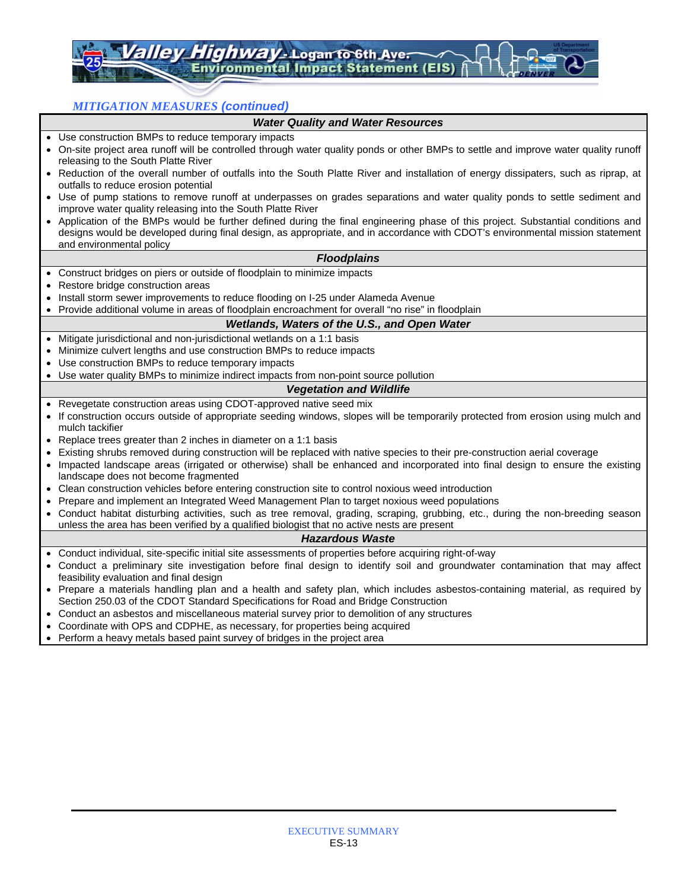ghway - Logan to 6th Aver ironmental Impact Statement (EIS)

*MITIGATION MEASURES (continued)* 

#### *Water Quality and Water Resources*

- Use construction BMPs to reduce temporary impacts
- On-site project area runoff will be controlled through water quality ponds or other BMPs to settle and improve water quality runoff releasing to the South Platte River
- Reduction of the overall number of outfalls into the South Platte River and installation of energy dissipaters, such as riprap, at outfalls to reduce erosion potential
- Use of pump stations to remove runoff at underpasses on grades separations and water quality ponds to settle sediment and improve water quality releasing into the South Platte River
- Application of the BMPs would be further defined during the final engineering phase of this project. Substantial conditions and designs would be developed during final design, as appropriate, and in accordance with CDOT's environmental mission statement and environmental policy

#### *Floodplains*

- Construct bridges on piers or outside of floodplain to minimize impacts
- Restore bridge construction areas
- Install storm sewer improvements to reduce flooding on I-25 under Alameda Avenue
- Provide additional volume in areas of floodplain encroachment for overall "no rise" in floodplain

#### *Wetlands, Waters of the U.S., and Open Water*

- Mitigate jurisdictional and non-jurisdictional wetlands on a 1:1 basis
- Minimize culvert lengths and use construction BMPs to reduce impacts
- Use construction BMPs to reduce temporary impacts
- Use water quality BMPs to minimize indirect impacts from non-point source pollution

#### *Vegetation and Wildlife*

- Revegetate construction areas using CDOT-approved native seed mix
- If construction occurs outside of appropriate seeding windows, slopes will be temporarily protected from erosion using mulch and mulch tackifier
- Replace trees greater than 2 inches in diameter on a 1:1 basis
- Existing shrubs removed during construction will be replaced with native species to their pre-construction aerial coverage
- Impacted landscape areas (irrigated or otherwise) shall be enhanced and incorporated into final design to ensure the existing landscape does not become fragmented
- Clean construction vehicles before entering construction site to control noxious weed introduction
- Prepare and implement an Integrated Weed Management Plan to target noxious weed populations
- Conduct habitat disturbing activities, such as tree removal, grading, scraping, grubbing, etc., during the non-breeding season unless the area has been verified by a qualified biologist that no active nests are present

#### *Hazardous Waste*

- Conduct individual, site-specific initial site assessments of properties before acquiring right-of-way
- Conduct a preliminary site investigation before final design to identify soil and groundwater contamination that may affect feasibility evaluation and final design
- Prepare a materials handling plan and a health and safety plan, which includes asbestos-containing material, as required by Section 250.03 of the CDOT Standard Specifications for Road and Bridge Construction
- Conduct an asbestos and miscellaneous material survey prior to demolition of any structures
- Coordinate with OPS and CDPHE, as necessary, for properties being acquired
- Perform a heavy metals based paint survey of bridges in the project area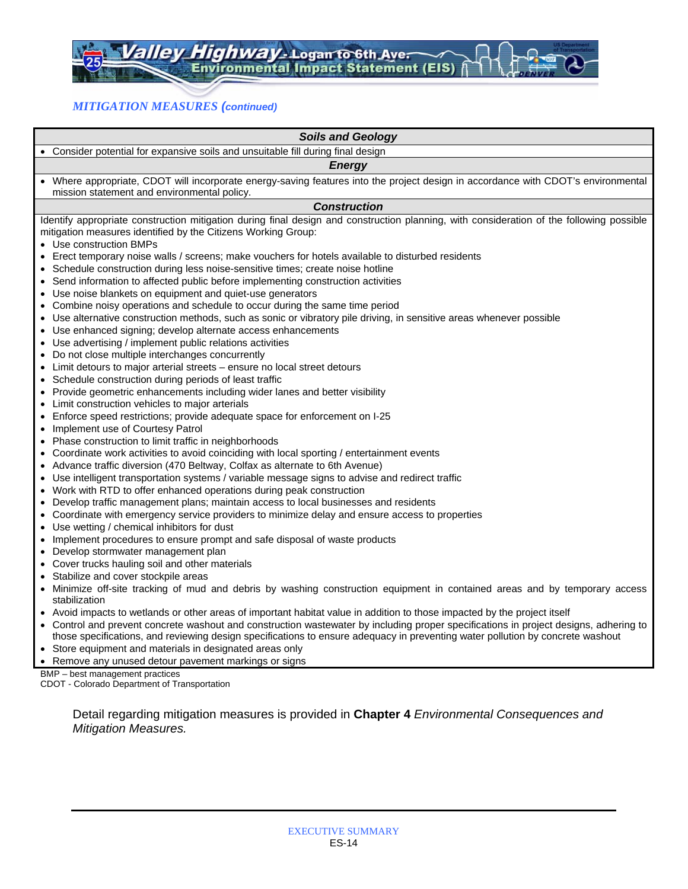### *MITIGATION MEASURES (continued)*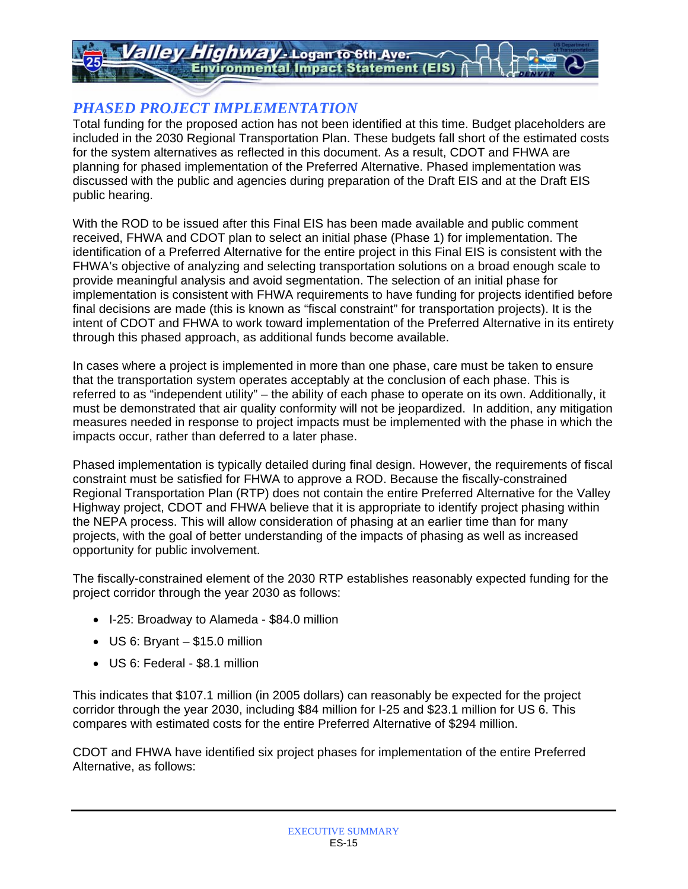# *PHASED PROJECT IMPLEMENTATION*

Total funding for the proposed action has not been identified at this time. Budget placeholders are included in the 2030 Regional Transportation Plan. These budgets fall short of the estimated costs for the system alternatives as reflected in this document. As a result, CDOT and FHWA are planning for phased implementation of the Preferred Alternative. Phased implementation was discussed with the public and agencies during preparation of the Draft EIS and at the Draft EIS public hearing.

With the ROD to be issued after this Final EIS has been made available and public comment received, FHWA and CDOT plan to select an initial phase (Phase 1) for implementation. The identification of a Preferred Alternative for the entire project in this Final EIS is consistent with the FHWA's objective of analyzing and selecting transportation solutions on a broad enough scale to provide meaningful analysis and avoid segmentation. The selection of an initial phase for implementation is consistent with FHWA requirements to have funding for projects identified before final decisions are made (this is known as "fiscal constraint" for transportation projects). It is the intent of CDOT and FHWA to work toward implementation of the Preferred Alternative in its entirety through this phased approach, as additional funds become available.

In cases where a project is implemented in more than one phase, care must be taken to ensure that the transportation system operates acceptably at the conclusion of each phase. This is referred to as "independent utility" – the ability of each phase to operate on its own. Additionally, it must be demonstrated that air quality conformity will not be jeopardized. In addition, any mitigation measures needed in response to project impacts must be implemented with the phase in which the impacts occur, rather than deferred to a later phase.

Phased implementation is typically detailed during final design. However, the requirements of fiscal constraint must be satisfied for FHWA to approve a ROD. Because the fiscally-constrained Regional Transportation Plan (RTP) does not contain the entire Preferred Alternative for the Valley Highway project, CDOT and FHWA believe that it is appropriate to identify project phasing within the NEPA process. This will allow consideration of phasing at an earlier time than for many projects, with the goal of better understanding of the impacts of phasing as well as increased opportunity for public involvement.

The fiscally-constrained element of the 2030 RTP establishes reasonably expected funding for the project corridor through the year 2030 as follows:

- I-25: Broadway to Alameda \$84.0 million
- US 6: Bryant \$15.0 million
- US 6: Federal \$8.1 million

This indicates that \$107.1 million (in 2005 dollars) can reasonably be expected for the project corridor through the year 2030, including \$84 million for I-25 and \$23.1 million for US 6. This compares with estimated costs for the entire Preferred Alternative of \$294 million.

CDOT and FHWA have identified six project phases for implementation of the entire Preferred Alternative, as follows: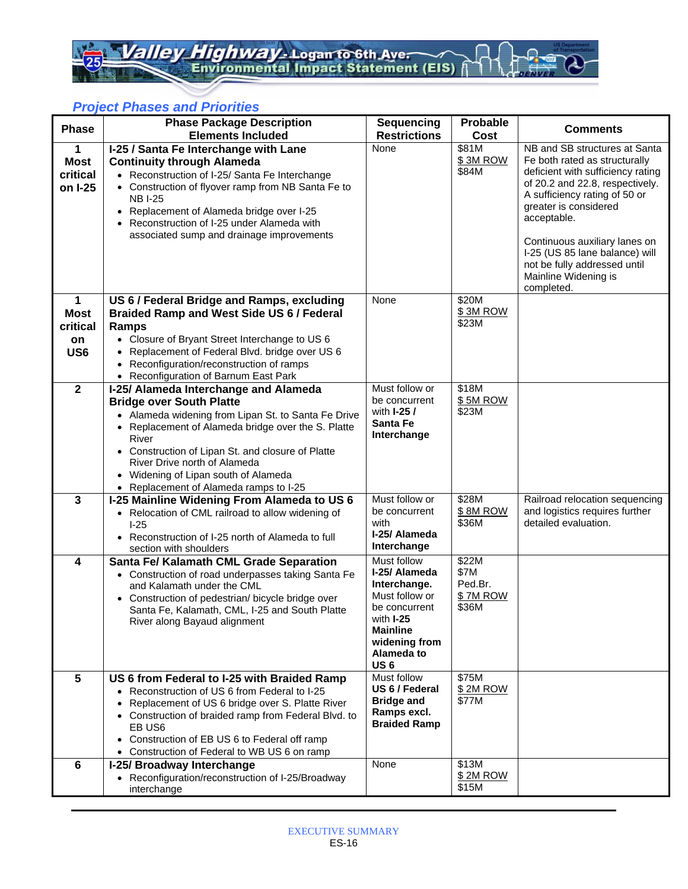## *Project Phases and Priorities*

| <b>Phase</b>                            | <b>Phase Package Description</b>                                                                                                                                                                                                                                                                                                              | <b>Sequencing</b>                  | Probable            | <b>Comments</b>                                                                                                                                                                                                                                                                                                         |
|-----------------------------------------|-----------------------------------------------------------------------------------------------------------------------------------------------------------------------------------------------------------------------------------------------------------------------------------------------------------------------------------------------|------------------------------------|---------------------|-------------------------------------------------------------------------------------------------------------------------------------------------------------------------------------------------------------------------------------------------------------------------------------------------------------------------|
|                                         | <b>Elements Included</b>                                                                                                                                                                                                                                                                                                                      | <b>Restrictions</b><br>None        | Cost<br>\$81M       | NB and SB structures at Santa                                                                                                                                                                                                                                                                                           |
| 1<br><b>Most</b><br>critical<br>on I-25 | I-25 / Santa Fe Interchange with Lane<br><b>Continuity through Alameda</b><br>• Reconstruction of I-25/ Santa Fe Interchange<br>• Construction of flyover ramp from NB Santa Fe to<br><b>NB I-25</b><br>• Replacement of Alameda bridge over I-25<br>• Reconstruction of I-25 under Alameda with<br>associated sump and drainage improvements |                                    | \$3M ROW<br>\$84M   | Fe both rated as structurally<br>deficient with sufficiency rating<br>of 20.2 and 22.8, respectively.<br>A sufficiency rating of 50 or<br>greater is considered<br>acceptable.<br>Continuous auxiliary lanes on<br>I-25 (US 85 lane balance) will<br>not be fully addressed until<br>Mainline Widening is<br>completed. |
| 1                                       | US 6 / Federal Bridge and Ramps, excluding                                                                                                                                                                                                                                                                                                    | None                               | \$20M               |                                                                                                                                                                                                                                                                                                                         |
| <b>Most</b>                             | <b>Braided Ramp and West Side US 6 / Federal</b>                                                                                                                                                                                                                                                                                              |                                    | \$3M ROW<br>\$23M   |                                                                                                                                                                                                                                                                                                                         |
| critical<br>on                          | Ramps<br>• Closure of Bryant Street Interchange to US 6                                                                                                                                                                                                                                                                                       |                                    |                     |                                                                                                                                                                                                                                                                                                                         |
| US <sub>6</sub>                         | • Replacement of Federal Blvd. bridge over US 6                                                                                                                                                                                                                                                                                               |                                    |                     |                                                                                                                                                                                                                                                                                                                         |
|                                         | Reconfiguration/reconstruction of ramps                                                                                                                                                                                                                                                                                                       |                                    |                     |                                                                                                                                                                                                                                                                                                                         |
| $\overline{\mathbf{2}}$                 | • Reconfiguration of Barnum East Park<br>I-25/ Alameda Interchange and Alameda                                                                                                                                                                                                                                                                | Must follow or                     | \$18M               |                                                                                                                                                                                                                                                                                                                         |
|                                         | <b>Bridge over South Platte</b>                                                                                                                                                                                                                                                                                                               | be concurrent                      | \$5M ROW            |                                                                                                                                                                                                                                                                                                                         |
|                                         | • Alameda widening from Lipan St. to Santa Fe Drive                                                                                                                                                                                                                                                                                           | with <b>I-25 /</b>                 | \$23M               |                                                                                                                                                                                                                                                                                                                         |
|                                         | • Replacement of Alameda bridge over the S. Platte                                                                                                                                                                                                                                                                                            | Santa Fe<br>Interchange            |                     |                                                                                                                                                                                                                                                                                                                         |
|                                         | River<br>• Construction of Lipan St. and closure of Platte                                                                                                                                                                                                                                                                                    |                                    |                     |                                                                                                                                                                                                                                                                                                                         |
|                                         | River Drive north of Alameda                                                                                                                                                                                                                                                                                                                  |                                    |                     |                                                                                                                                                                                                                                                                                                                         |
|                                         | • Widening of Lipan south of Alameda                                                                                                                                                                                                                                                                                                          |                                    |                     |                                                                                                                                                                                                                                                                                                                         |
| $\mathbf{3}$                            | • Replacement of Alameda ramps to I-25<br>I-25 Mainline Widening From Alameda to US 6                                                                                                                                                                                                                                                         | Must follow or                     | \$28M               | Railroad relocation sequencing                                                                                                                                                                                                                                                                                          |
|                                         | • Relocation of CML railroad to allow widening of                                                                                                                                                                                                                                                                                             | be concurrent                      | \$8M ROW            | and logistics requires further                                                                                                                                                                                                                                                                                          |
|                                         | $1-25$                                                                                                                                                                                                                                                                                                                                        | with                               | \$36M               | detailed evaluation.                                                                                                                                                                                                                                                                                                    |
|                                         | • Reconstruction of I-25 north of Alameda to full<br>section with shoulders                                                                                                                                                                                                                                                                   | I-25/ Alameda<br>Interchange       |                     |                                                                                                                                                                                                                                                                                                                         |
| 4                                       | Santa Fe/ Kalamath CML Grade Separation                                                                                                                                                                                                                                                                                                       | Must follow                        | \$22M               |                                                                                                                                                                                                                                                                                                                         |
|                                         | • Construction of road underpasses taking Santa Fe                                                                                                                                                                                                                                                                                            | I-25/ Alameda                      | \$7M                |                                                                                                                                                                                                                                                                                                                         |
|                                         | and Kalamath under the CML                                                                                                                                                                                                                                                                                                                    | Interchange.<br>Must follow or     | Ped.Br.<br>\$7M ROW |                                                                                                                                                                                                                                                                                                                         |
|                                         | • Construction of pedestrian/ bicycle bridge over<br>Santa Fe, Kalamath, CML, I-25 and South Platte                                                                                                                                                                                                                                           | be concurrent                      | \$36M               |                                                                                                                                                                                                                                                                                                                         |
|                                         | River along Bayaud alignment                                                                                                                                                                                                                                                                                                                  | with I-25                          |                     |                                                                                                                                                                                                                                                                                                                         |
|                                         |                                                                                                                                                                                                                                                                                                                                               | <b>Mainline</b><br>widening from   |                     |                                                                                                                                                                                                                                                                                                                         |
|                                         |                                                                                                                                                                                                                                                                                                                                               | Alameda to                         |                     |                                                                                                                                                                                                                                                                                                                         |
|                                         |                                                                                                                                                                                                                                                                                                                                               | US <sub>6</sub>                    |                     |                                                                                                                                                                                                                                                                                                                         |
| 5                                       | US 6 from Federal to I-25 with Braided Ramp<br>• Reconstruction of US 6 from Federal to I-25                                                                                                                                                                                                                                                  | Must follow<br>US 6 / Federal      | \$75M<br>\$2M ROW   |                                                                                                                                                                                                                                                                                                                         |
|                                         | Replacement of US 6 bridge over S. Platte River                                                                                                                                                                                                                                                                                               | <b>Bridge and</b>                  | \$77M               |                                                                                                                                                                                                                                                                                                                         |
|                                         | • Construction of braided ramp from Federal Blvd. to                                                                                                                                                                                                                                                                                          | Ramps excl.<br><b>Braided Ramp</b> |                     |                                                                                                                                                                                                                                                                                                                         |
|                                         | EB US6                                                                                                                                                                                                                                                                                                                                        |                                    |                     |                                                                                                                                                                                                                                                                                                                         |
|                                         | Construction of EB US 6 to Federal off ramp<br>$\bullet$<br>• Construction of Federal to WB US 6 on ramp                                                                                                                                                                                                                                      |                                    |                     |                                                                                                                                                                                                                                                                                                                         |
| 6                                       | I-25/ Broadway Interchange                                                                                                                                                                                                                                                                                                                    | None                               | \$13M               |                                                                                                                                                                                                                                                                                                                         |
|                                         | • Reconfiguration/reconstruction of I-25/Broadway                                                                                                                                                                                                                                                                                             |                                    | \$ 2M ROW           |                                                                                                                                                                                                                                                                                                                         |
|                                         | interchange                                                                                                                                                                                                                                                                                                                                   |                                    | \$15M               |                                                                                                                                                                                                                                                                                                                         |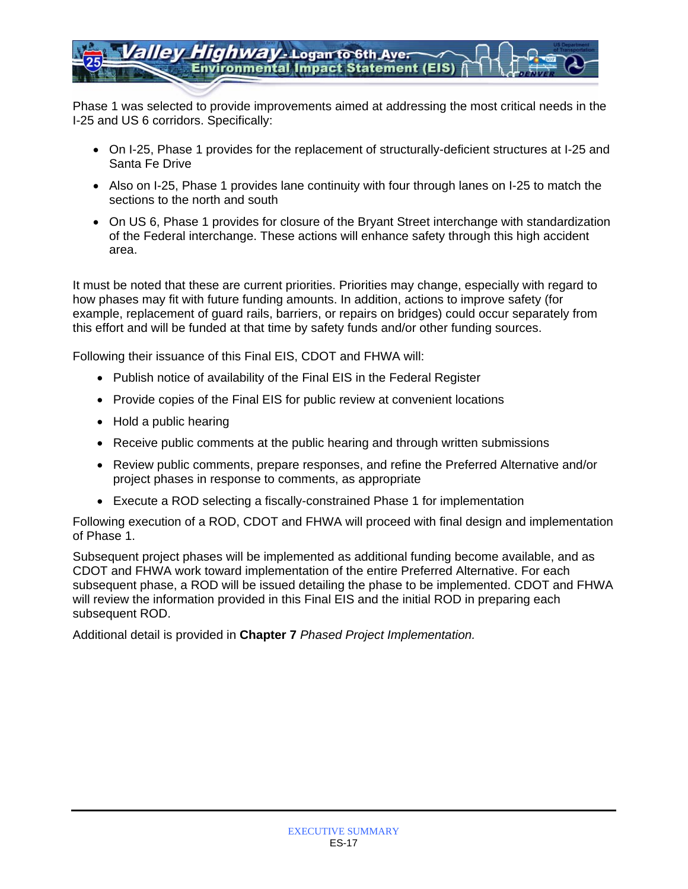Phase 1 was selected to provide improvements aimed at addressing the most critical needs in the I-25 and US 6 corridors. Specifically:

- On I-25, Phase 1 provides for the replacement of structurally-deficient structures at I-25 and Santa Fe Drive
- Also on I-25, Phase 1 provides lane continuity with four through lanes on I-25 to match the sections to the north and south
- On US 6, Phase 1 provides for closure of the Bryant Street interchange with standardization of the Federal interchange. These actions will enhance safety through this high accident area.

It must be noted that these are current priorities. Priorities may change, especially with regard to how phases may fit with future funding amounts. In addition, actions to improve safety (for example, replacement of guard rails, barriers, or repairs on bridges) could occur separately from this effort and will be funded at that time by safety funds and/or other funding sources.

Following their issuance of this Final EIS, CDOT and FHWA will:

- Publish notice of availability of the Final EIS in the Federal Register
- Provide copies of the Final EIS for public review at convenient locations
- Hold a public hearing
- Receive public comments at the public hearing and through written submissions
- Review public comments, prepare responses, and refine the Preferred Alternative and/or project phases in response to comments, as appropriate
- Execute a ROD selecting a fiscally-constrained Phase 1 for implementation

Following execution of a ROD, CDOT and FHWA will proceed with final design and implementation of Phase 1.

Subsequent project phases will be implemented as additional funding become available, and as CDOT and FHWA work toward implementation of the entire Preferred Alternative. For each subsequent phase, a ROD will be issued detailing the phase to be implemented. CDOT and FHWA will review the information provided in this Final EIS and the initial ROD in preparing each subsequent ROD.

Additional detail is provided in **Chapter 7** *Phased Project Implementation.*